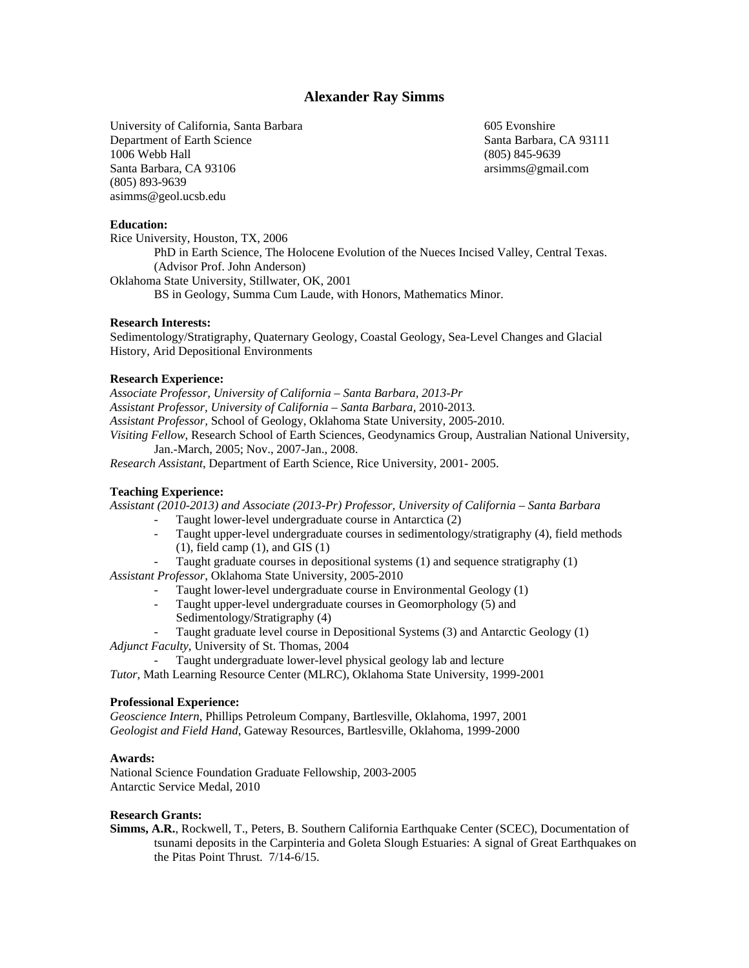# **Alexander Ray Simms**

University of California, Santa Barbara Department of Earth Science 1006 Webb Hall Santa Barbara, CA 93106 (805) 893-9639 asimms@geol.ucsb.edu

605 Evonshire Santa Barbara, CA 93111 (805) 845-9639 arsimms@gmail.com

#### **Education:**

Rice University, Houston, TX, 2006 PhD in Earth Science, The Holocene Evolution of the Nueces Incised Valley, Central Texas. (Advisor Prof. John Anderson) Oklahoma State University, Stillwater, OK, 2001 BS in Geology, Summa Cum Laude, with Honors, Mathematics Minor.

### **Research Interests:**

Sedimentology/Stratigraphy, Quaternary Geology, Coastal Geology, Sea-Level Changes and Glacial History, Arid Depositional Environments

#### **Research Experience:**

*Associate Professor, University of California – Santa Barbara, 2013-Pr Assistant Professor, University of California – Santa Barbara,* 2010-2013. *Assistant Professor,* School of Geology, Oklahoma State University, 2005-2010. *Visiting Fellow*, Research School of Earth Sciences, Geodynamics Group, Australian National University, Jan.-March, 2005; Nov., 2007-Jan., 2008.

*Research Assistant*, Department of Earth Science, Rice University, 2001- 2005.

#### **Teaching Experience:**

*Assistant (2010-2013) and Associate (2013-Pr) Professor, University of California – Santa Barbara* 

- Taught lower-level undergraduate course in Antarctica (2)
- Taught upper-level undergraduate courses in sedimentology/stratigraphy (4), field methods  $(1)$ , field camp  $(1)$ , and GIS  $(1)$
- Taught graduate courses in depositional systems  $(1)$  and sequence stratigraphy  $(1)$
- *Assistant Professor*, Oklahoma State University, 2005-2010
	- Taught lower-level undergraduate course in Environmental Geology (1)
	- Taught upper-level undergraduate courses in Geomorphology (5) and Sedimentology/Stratigraphy (4)
	- Taught graduate level course in Depositional Systems (3) and Antarctic Geology (1)
- *Adjunct Faculty*, University of St. Thomas, 2004
- Taught undergraduate lower-level physical geology lab and lecture
- *Tutor*, Math Learning Resource Center (MLRC), Oklahoma State University, 1999-2001

#### **Professional Experience:**

*Geoscience Intern*, Phillips Petroleum Company, Bartlesville, Oklahoma, 1997, 2001 *Geologist and Field Hand*, Gateway Resources, Bartlesville, Oklahoma, 1999-2000

#### **Awards:**

National Science Foundation Graduate Fellowship, 2003-2005 Antarctic Service Medal, 2010

#### **Research Grants:**

**Simms, A.R.**, Rockwell, T., Peters, B. Southern California Earthquake Center (SCEC), Documentation of tsunami deposits in the Carpinteria and Goleta Slough Estuaries: A signal of Great Earthquakes on the Pitas Point Thrust. 7/14-6/15.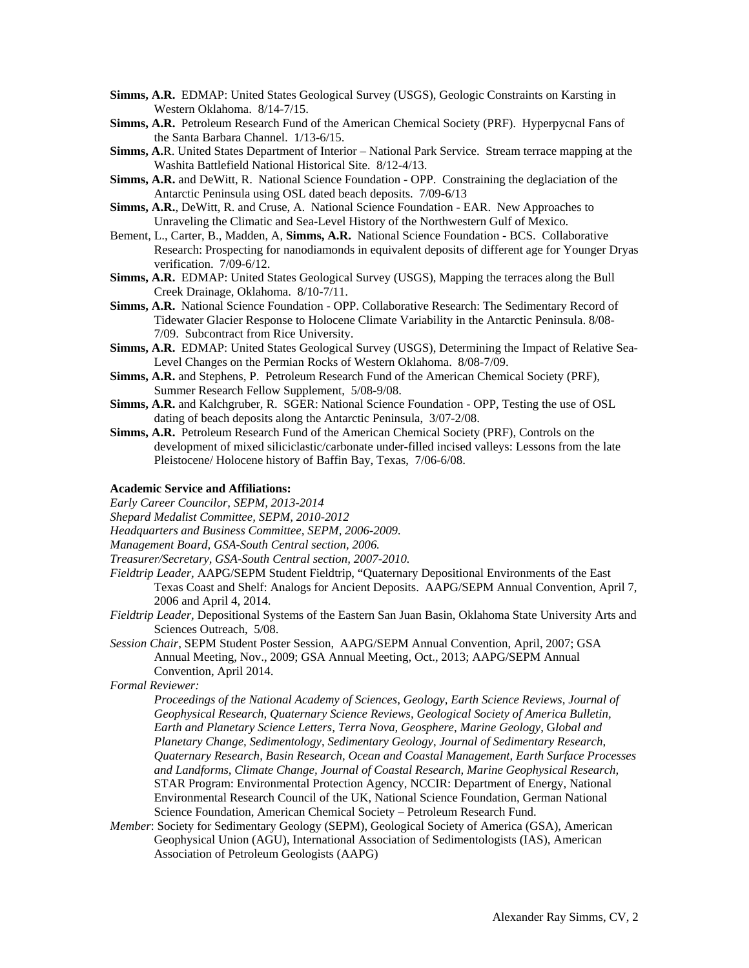- **Simms, A.R.** EDMAP: United States Geological Survey (USGS), Geologic Constraints on Karsting in Western Oklahoma. 8/14-7/15.
- **Simms, A.R.** Petroleum Research Fund of the American Chemical Society (PRF). Hyperpycnal Fans of the Santa Barbara Channel. 1/13-6/15.
- **Simms, A.**R. United States Department of Interior National Park Service. Stream terrace mapping at the Washita Battlefield National Historical Site. 8/12-4/13.
- **Simms, A.R.** and DeWitt, R. National Science Foundation OPP. Constraining the deglaciation of the Antarctic Peninsula using OSL dated beach deposits. 7/09-6/13
- **Simms, A.R.**, DeWitt, R. and Cruse, A. National Science Foundation EAR. New Approaches to Unraveling the Climatic and Sea-Level History of the Northwestern Gulf of Mexico.
- Bement, L., Carter, B., Madden, A, **Simms, A.R.** National Science Foundation BCS. Collaborative Research: Prospecting for nanodiamonds in equivalent deposits of different age for Younger Dryas verification. 7/09-6/12.
- **Simms, A.R.** EDMAP: United States Geological Survey (USGS), Mapping the terraces along the Bull Creek Drainage, Oklahoma. 8/10-7/11.
- **Simms, A.R.** National Science Foundation OPP. Collaborative Research: The Sedimentary Record of Tidewater Glacier Response to Holocene Climate Variability in the Antarctic Peninsula. 8/08- 7/09. Subcontract from Rice University.
- **Simms, A.R.** EDMAP: United States Geological Survey (USGS), Determining the Impact of Relative Sea-Level Changes on the Permian Rocks of Western Oklahoma. 8/08-7/09.
- **Simms, A.R.** and Stephens, P. Petroleum Research Fund of the American Chemical Society (PRF), Summer Research Fellow Supplement, 5/08-9/08.
- **Simms, A.R.** and Kalchgruber, R. SGER: National Science Foundation OPP, Testing the use of OSL dating of beach deposits along the Antarctic Peninsula, 3/07-2/08.
- **Simms, A.R.** Petroleum Research Fund of the American Chemical Society (PRF), Controls on the development of mixed siliciclastic/carbonate under-filled incised valleys: Lessons from the late Pleistocene/ Holocene history of Baffin Bay, Texas, 7/06-6/08.

## **Academic Service and Affiliations:**

*Early Career Councilor, SEPM, 2013-2014* 

*Shepard Medalist Committee, SEPM, 2010-2012*

*Headquarters and Business Committee, SEPM, 2006-2009.* 

- *Management Board, GSA-South Central section, 2006.*
- *Treasurer/Secretary, GSA-South Central section, 2007-2010.*
- *Fieldtrip Leader,* AAPG/SEPM Student Fieldtrip, "Quaternary Depositional Environments of the East Texas Coast and Shelf: Analogs for Ancient Deposits. AAPG/SEPM Annual Convention, April 7, 2006 and April 4, 2014.
- *Fieldtrip Leader,* Depositional Systems of the Eastern San Juan Basin, Oklahoma State University Arts and Sciences Outreach, 5/08.
- *Session Chair*, SEPM Student Poster Session, AAPG/SEPM Annual Convention, April, 2007; GSA Annual Meeting, Nov., 2009; GSA Annual Meeting, Oct., 2013; AAPG/SEPM Annual Convention, April 2014.

*Formal Reviewer:* 

- *Proceedings of the National Academy of Sciences, Geology, Earth Science Reviews, Journal of Geophysical Research, Quaternary Science Reviews, Geological Society of America Bulletin, Earth and Planetary Science Letters, Terra Nova, Geosphere*, *Marine Geology*, G*lobal and Planetary Change, Sedimentology*, *Sedimentary Geology*, *Journal of Sedimentary Research*, *Quaternary Research*, *Basin Research*, *Ocean and Coastal Management, Earth Surface Processes and Landforms, Climate Change, Journal of Coastal Research, Marine Geophysical Research,*  STAR Program: Environmental Protection Agency, NCCIR: Department of Energy, National Environmental Research Council of the UK, National Science Foundation, German National Science Foundation, American Chemical Society – Petroleum Research Fund.
- *Member*: Society for Sedimentary Geology (SEPM), Geological Society of America (GSA), American Geophysical Union (AGU), International Association of Sedimentologists (IAS), American Association of Petroleum Geologists (AAPG)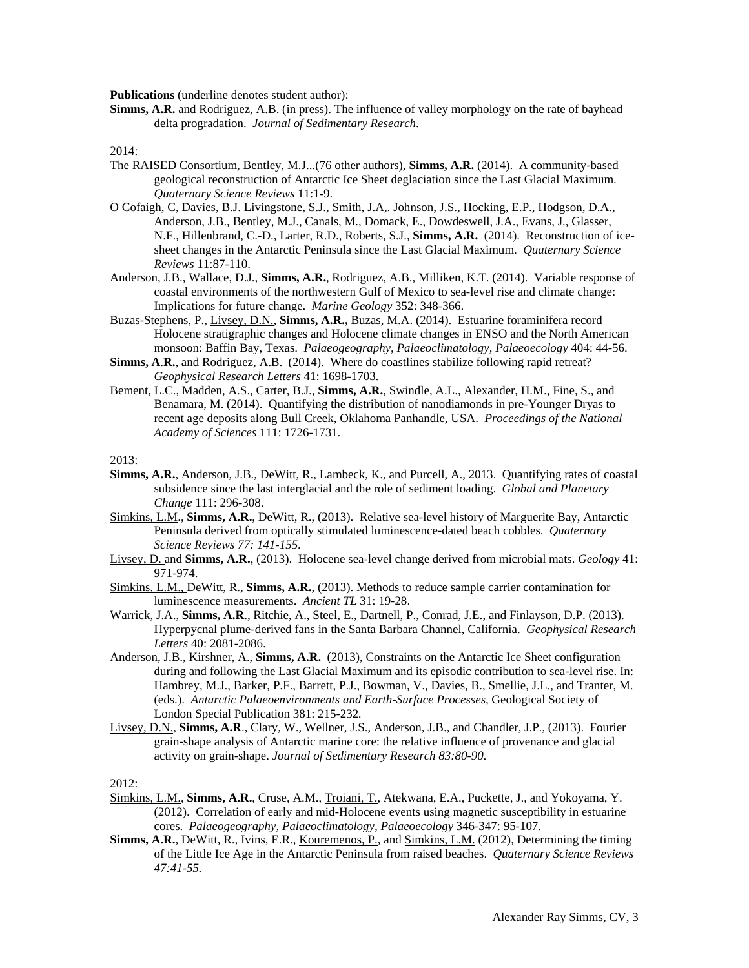**Publications** (underline denotes student author):

**Simms, A.R.** and Rodriguez, A.B. (in press). The influence of valley morphology on the rate of bayhead delta progradation. *Journal of Sedimentary Research*.

2014:

- The RAISED Consortium, Bentley, M.J...(76 other authors), **Simms, A.R.** (2014). A community-based geological reconstruction of Antarctic Ice Sheet deglaciation since the Last Glacial Maximum. *Quaternary Science Reviews* 11:1-9.
- O Cofaigh, C, Davies, B.J. Livingstone, S.J., Smith, J.A,. Johnson, J.S., Hocking, E.P., Hodgson, D.A., Anderson, J.B., Bentley, M.J., Canals, M., Domack, E., Dowdeswell, J.A., Evans, J., Glasser, N.F., Hillenbrand, C.-D., Larter, R.D., Roberts, S.J., **Simms, A.R.** (2014). Reconstruction of icesheet changes in the Antarctic Peninsula since the Last Glacial Maximum. *Quaternary Science Reviews* 11:87-110.
- Anderson, J.B., Wallace, D.J., **Simms, A.R.**, Rodriguez, A.B., Milliken, K.T. (2014). Variable response of coastal environments of the northwestern Gulf of Mexico to sea-level rise and climate change: Implications for future change. *Marine Geology* 352: 348-366.
- Buzas-Stephens, P., Livsey, D.N., **Simms, A.R.,** Buzas, M.A. (2014). Estuarine foraminifera record Holocene stratigraphic changes and Holocene climate changes in ENSO and the North American monsoon: Baffin Bay, Texas. *Palaeogeography, Palaeoclimatology, Palaeoecology* 404: 44-56.
- **Simms, A**.**R.**, and Rodriguez, A.B. (2014). Where do coastlines stabilize following rapid retreat? *Geophysical Research Letters* 41: 1698-1703.
- Bement, L.C., Madden, A.S., Carter, B.J., **Simms, A.R.**, Swindle, A.L., Alexander, H.M., Fine, S., and Benamara, M. (2014). Quantifying the distribution of nanodiamonds in pre-Younger Dryas to recent age deposits along Bull Creek, Oklahoma Panhandle, USA. *Proceedings of the National Academy of Sciences* 111: 1726-1731.

2013:

- **Simms, A.R.**, Anderson, J.B., DeWitt, R., Lambeck, K., and Purcell, A., 2013. Quantifying rates of coastal subsidence since the last interglacial and the role of sediment loading. *Global and Planetary Change* 111: 296-308.
- Simkins, L.M., **Simms, A.R.**, DeWitt, R., (2013). Relative sea-level history of Marguerite Bay, Antarctic Peninsula derived from optically stimulated luminescence-dated beach cobbles. *Quaternary Science Reviews 77: 141-155*.
- Livsey, D. and **Simms, A.R.**, (2013). Holocene sea-level change derived from microbial mats. *Geology* 41: 971-974.
- Simkins, L.M., DeWitt, R., **Simms, A.R.**, (2013). Methods to reduce sample carrier contamination for luminescence measurements. *Ancient TL* 31: 19-28.
- Warrick, J.A., **Simms, A.R**., Ritchie, A., Steel, E., Dartnell, P., Conrad, J.E., and Finlayson, D.P. (2013). Hyperpycnal plume-derived fans in the Santa Barbara Channel, California. *Geophysical Research Letters* 40: 2081-2086.
- Anderson, J.B., Kirshner, A., **Simms, A.R.** (2013), Constraints on the Antarctic Ice Sheet configuration during and following the Last Glacial Maximum and its episodic contribution to sea-level rise. In: Hambrey, M.J., Barker, P.F., Barrett, P.J., Bowman, V., Davies, B., Smellie, J.L., and Tranter, M. (eds.). *Antarctic Palaeoenvironments and Earth-Surface Processes*, Geological Society of London Special Publication 381: 215-232*.*
- Livsey, D.N., **Simms, A.R**., Clary, W., Wellner, J.S., Anderson, J.B., and Chandler, J.P., (2013). Fourier grain-shape analysis of Antarctic marine core: the relative influence of provenance and glacial activity on grain-shape. *Journal of Sedimentary Research 83:80-90*.

2012:

- Simkins, L.M., **Simms, A.R.**, Cruse, A.M., Troiani, T., Atekwana, E.A., Puckette, J., and Yokoyama, Y. (2012). Correlation of early and mid-Holocene events using magnetic susceptibility in estuarine cores. *Palaeogeography, Palaeoclimatology, Palaeoecology* 346-347: 95-107.
- **Simms, A.R.**, DeWitt, R., Ivins, E.R., <u>Kouremenos, P.</u>, and Simkins, L.M. (2012), Determining the timing of the Little Ice Age in the Antarctic Peninsula from raised beaches. *Quaternary Science Reviews 47:41-55.*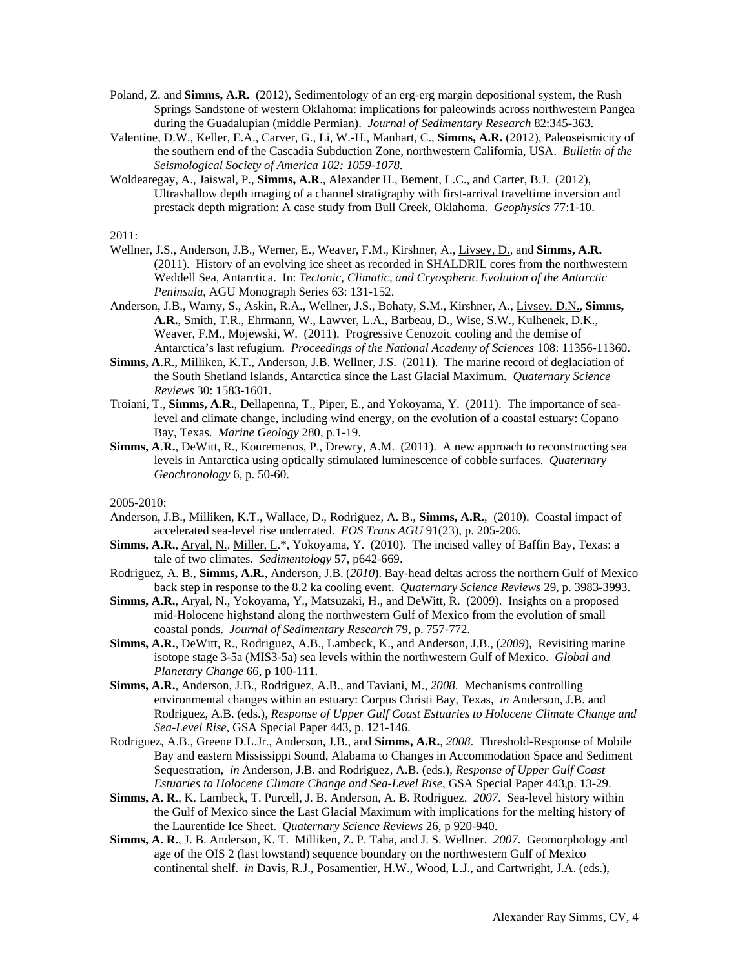- Poland, Z. and **Simms, A.R.** (2012), Sedimentology of an erg-erg margin depositional system, the Rush Springs Sandstone of western Oklahoma: implications for paleowinds across northwestern Pangea during the Guadalupian (middle Permian). *Journal of Sedimentary Research* 82:345-363.
- Valentine, D.W., Keller, E.A., Carver, G., Li, W.-H., Manhart, C., **Simms, A.R.** (2012), Paleoseismicity of the southern end of the Cascadia Subduction Zone, northwestern California, USA. *Bulletin of the Seismological Society of America 102: 1059-1078*.
- Woldearegay, A., Jaiswal, P., **Simms, A.R**., Alexander H., Bement, L.C., and Carter, B.J. (2012), Ultrashallow depth imaging of a channel stratigraphy with first-arrival traveltime inversion and prestack depth migration: A case study from Bull Creek, Oklahoma. *Geophysics* 77:1-10.

2011:

- Wellner, J.S., Anderson, J.B., Werner, E., Weaver, F.M., Kirshner, A., Livsey, D., and **Simms, A.R.** (2011). History of an evolving ice sheet as recorded in SHALDRIL cores from the northwestern Weddell Sea, Antarctica. In: *Tectonic, Climatic, and Cryospheric Evolution of the Antarctic Peninsula*, AGU Monograph Series 63: 131-152.
- Anderson, J.B., Warny, S., Askin, R.A., Wellner, J.S., Bohaty, S.M., Kirshner, A., Livsey, D.N., **Simms, A.R.**, Smith, T.R., Ehrmann, W., Lawver, L.A., Barbeau, D., Wise, S.W., Kulhenek, D.K., Weaver, F.M., Mojewski, W. (2011). Progressive Cenozoic cooling and the demise of Antarctica's last refugium. *Proceedings of the National Academy of Sciences* 108: 11356-11360.
- **Simms, A**.R., Milliken, K.T., Anderson, J.B. Wellner, J.S. (2011). The marine record of deglaciation of the South Shetland Islands, Antarctica since the Last Glacial Maximum. *Quaternary Science Reviews* 30: 1583-1601*.*
- Troiani, T., **Simms, A.R.**, Dellapenna, T., Piper, E., and Yokoyama, Y. (2011). The importance of sealevel and climate change, including wind energy, on the evolution of a coastal estuary: Copano Bay, Texas. *Marine Geology* 280, p.1-19.
- **Simms, A.R.**, DeWitt, R., <u>Kouremenos, P., Drewry, A.M.</u> (2011). A new approach to reconstructing sea levels in Antarctica using optically stimulated luminescence of cobble surfaces. *Quaternary Geochronology* 6, p. 50-60.

2005-2010:

- Anderson, J.B., Milliken, K.T., Wallace, D., Rodriguez, A. B., **Simms, A.R.**, (2010). Coastal impact of accelerated sea-level rise underrated. *EOS Trans AGU* 91(23), p. 205-206.
- **Simms, A.R.**, Aryal, N., Miller, L.\*, Yokoyama, Y. (2010). The incised valley of Baffin Bay, Texas: a tale of two climates. *Sedimentology* 57, p642-669.
- Rodriguez, A. B., **Simms, A.R.**, Anderson, J.B. (*2010*). Bay-head deltas across the northern Gulf of Mexico back step in response to the 8.2 ka cooling event. *Quaternary Science Reviews* 29, p. 3983-3993.
- **Simms, A.R.**, Aryal, N., Yokoyama, Y., Matsuzaki, H., and DeWitt, R. (2009). Insights on a proposed mid-Holocene highstand along the northwestern Gulf of Mexico from the evolution of small coastal ponds. *Journal of Sedimentary Research* 79, p. 757-772.
- **Simms, A.R.**, DeWitt, R., Rodriguez, A.B., Lambeck, K., and Anderson, J.B., (*2009*), Revisiting marine isotope stage 3-5a (MIS3-5a) sea levels within the northwestern Gulf of Mexico. *Global and Planetary Change* 66, p 100-111.
- **Simms, A.R.**, Anderson, J.B., Rodriguez, A.B., and Taviani, M., *2008*. Mechanisms controlling environmental changes within an estuary: Corpus Christi Bay, Texas, *in* Anderson, J.B. and Rodriguez, A.B. (eds.), *Response of Upper Gulf Coast Estuaries to Holocene Climate Change and Sea-Level Rise*, GSA Special Paper 443, p. 121-146.
- Rodriguez, A.B., Greene D.L.Jr., Anderson, J.B., and **Simms, A.R.**, *2008*. Threshold-Response of Mobile Bay and eastern Mississippi Sound, Alabama to Changes in Accommodation Space and Sediment Sequestration, *in* Anderson, J.B. and Rodriguez, A.B. (eds.), *Response of Upper Gulf Coast Estuaries to Holocene Climate Change and Sea-Level Rise*, GSA Special Paper 443,p. 13-29.
- **Simms, A. R**., K. Lambeck, T. Purcell, J. B. Anderson, A. B. Rodriguez. *2007*. Sea-level history within the Gulf of Mexico since the Last Glacial Maximum with implications for the melting history of the Laurentide Ice Sheet. *Quaternary Science Reviews* 26, p 920-940.
- **Simms, A. R.**, J. B. Anderson, K. T. Milliken, Z. P. Taha, and J. S. Wellner. *2007*. Geomorphology and age of the OIS 2 (last lowstand) sequence boundary on the northwestern Gulf of Mexico continental shelf. *in* Davis, R.J., Posamentier, H.W., Wood, L.J., and Cartwright, J.A. (eds.),